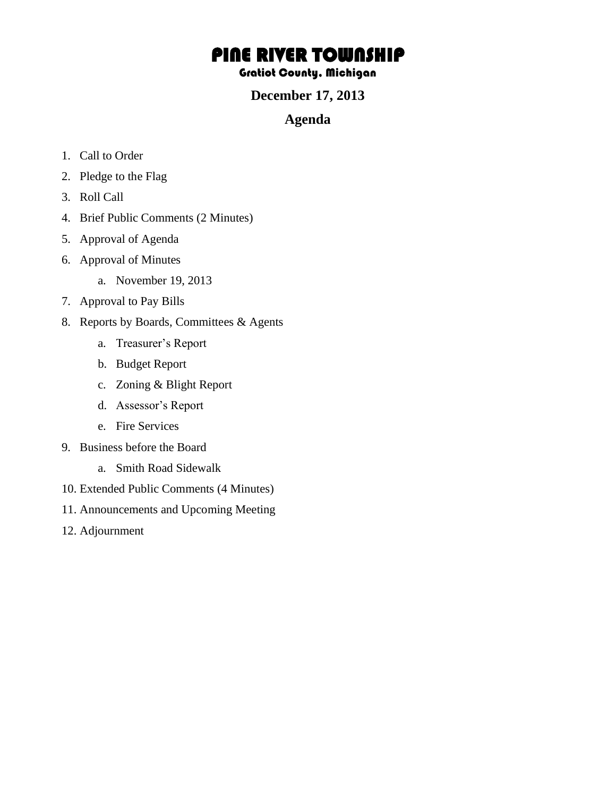# PINE RIVER TOWNSHIP

# Gratiot County, Michigan

# **December 17, 2013**

#### **Agenda**

- 1. Call to Order
- 2. Pledge to the Flag
- 3. Roll Call
- 4. Brief Public Comments (2 Minutes)
- 5. Approval of Agenda
- 6. Approval of Minutes
	- a. November 19, 2013
- 7. Approval to Pay Bills
- 8. Reports by Boards, Committees & Agents
	- a. Treasurer's Report
	- b. Budget Report
	- c. Zoning & Blight Report
	- d. Assessor's Report
	- e. Fire Services
- 9. Business before the Board
	- a. Smith Road Sidewalk
- 10. Extended Public Comments (4 Minutes)
- 11. Announcements and Upcoming Meeting
- 12. Adjournment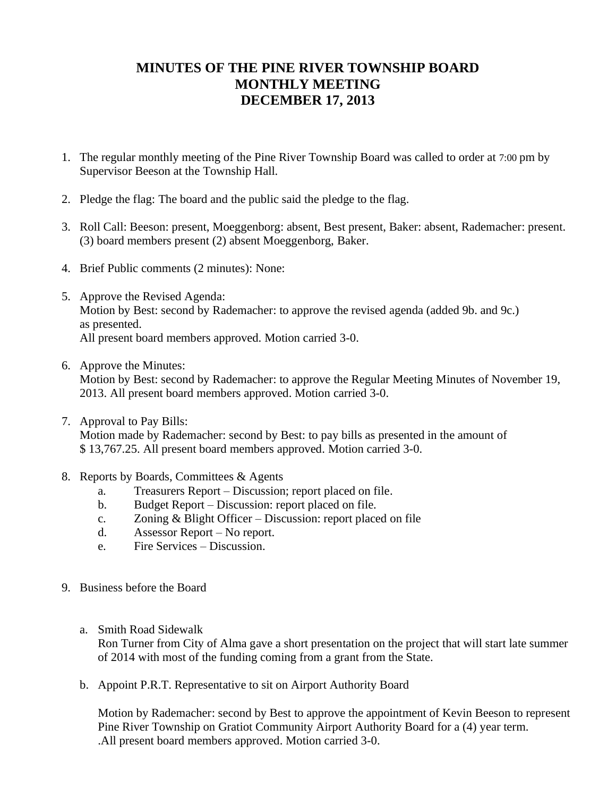# **MINUTES OF THE PINE RIVER TOWNSHIP BOARD MONTHLY MEETING DECEMBER 17, 2013**

- 1. The regular monthly meeting of the Pine River Township Board was called to order at 7:00 pm by Supervisor Beeson at the Township Hall.
- 2. Pledge the flag: The board and the public said the pledge to the flag.
- 3. Roll Call: Beeson: present, Moeggenborg: absent, Best present, Baker: absent, Rademacher: present. (3) board members present (2) absent Moeggenborg, Baker.
- 4. Brief Public comments (2 minutes): None:
- 5. Approve the Revised Agenda: Motion by Best: second by Rademacher: to approve the revised agenda (added 9b. and 9c.) as presented. All present board members approved. Motion carried 3-0.
- 6. Approve the Minutes: Motion by Best: second by Rademacher: to approve the Regular Meeting Minutes of November 19, 2013. All present board members approved. Motion carried 3-0.
- 7. Approval to Pay Bills: Motion made by Rademacher: second by Best: to pay bills as presented in the amount of \$ 13,767.25. All present board members approved. Motion carried 3-0.
- 8. Reports by Boards, Committees & Agents
	- a. Treasurers Report Discussion; report placed on file.
	- b. Budget Report Discussion: report placed on file.
	- c. Zoning & Blight Officer Discussion: report placed on file
	- d. Assessor Report No report.
	- e. Fire Services Discussion.
- 9. Business before the Board
	- a. Smith Road Sidewalk

Ron Turner from City of Alma gave a short presentation on the project that will start late summer of 2014 with most of the funding coming from a grant from the State.

b. Appoint P.R.T. Representative to sit on Airport Authority Board

Motion by Rademacher: second by Best to approve the appointment of Kevin Beeson to represent Pine River Township on Gratiot Community Airport Authority Board for a (4) year term. .All present board members approved. Motion carried 3-0.